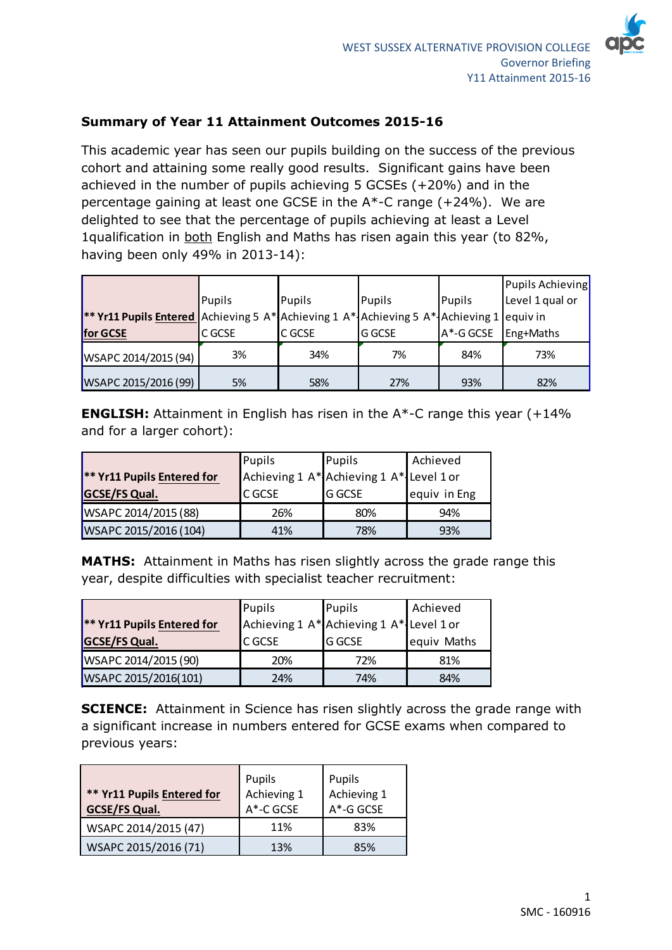

## **Summary of Year 11 Attainment Outcomes 2015-16**

This academic year has seen our pupils building on the success of the previous cohort and attaining some really good results. Significant gains have been achieved in the number of pupils achieving 5 GCSEs (+20%) and in the percentage gaining at least one GCSE in the A\*-C range (+24%). We are delighted to see that the percentage of pupils achieving at least a Level 1qualification in both English and Maths has risen again this year (to 82%, having been only 49% in 2013-14):

|                                                                                                 |        |                  |               |           | Pupils Achieving |
|-------------------------------------------------------------------------------------------------|--------|------------------|---------------|-----------|------------------|
|                                                                                                 | Pupils | Pupils<br>Pupils |               | Pupils    | Level 1 qual or  |
| <b>** Yr11 Pupils Entered</b> Achieving 5 A* Achieving 1 A* Achieving 5 A* Achieving 1 equiv in |        |                  |               |           |                  |
| for GCSE                                                                                        | C GCSE | <b>C</b> GCSE    | <b>G</b> GCSE | A*-G GCSE | Eng+Maths        |
| WSAPC 2014/2015 (94)                                                                            | 3%     | 34%              | 7%            | 84%       | 73%              |
| WSAPC 2015/2016 (99)                                                                            | 5%     | 58%              | 27%           | 93%       | 82%              |

**ENGLISH:** Attainment in English has risen in the A\*-C range this year (+14%) and for a larger cohort):

|                                   | Pupils        | Pupils                                   | Achieved     |
|-----------------------------------|---------------|------------------------------------------|--------------|
| <b>** Yr11 Pupils Entered for</b> |               | Achieving 1 A* Achieving 1 A* Level 1 or |              |
| <b>GCSE/FS Qual.</b>              | <b>C</b> GCSE | <b>G GCSE</b>                            | equiv in Eng |
| WSAPC 2014/2015 (88)              | 26%           | 80%                                      | 94%          |
| WSAPC 2015/2016 (104)             | 41%           | 78%                                      | 93%          |

**MATHS:** Attainment in Maths has risen slightly across the grade range this year, despite difficulties with specialist teacher recruitment:

|                                   | Pupils  | Pupils                                   | Achieved    |
|-----------------------------------|---------|------------------------------------------|-------------|
| <b>** Yr11 Pupils Entered for</b> |         | Achieving 1 A* Achieving 1 A* Level 1 or |             |
| <b>GCSE/FS Qual.</b>              | IC GCSE | <b>G GCSE</b>                            | equiv Maths |
| WSAPC 2014/2015 (90)              | 20%     | 72%                                      | 81%         |
| WSAPC 2015/2016(101)              | 24%     | 74%                                      | 84%         |

**SCIENCE:** Attainment in Science has risen slightly across the grade range with a significant increase in numbers entered for GCSE exams when compared to previous years:

| ** Yr11 Pupils Entered for<br><b>GCSE/FS Qual.</b> | Pupils<br>Achieving 1<br>A*-C GCSE | Pupils<br>Achieving 1<br>$A^*$ -G GCSE |  |
|----------------------------------------------------|------------------------------------|----------------------------------------|--|
| WSAPC 2014/2015 (47)                               | 11%                                | 83%                                    |  |
| WSAPC 2015/2016 (71)                               | 13%                                | 85%                                    |  |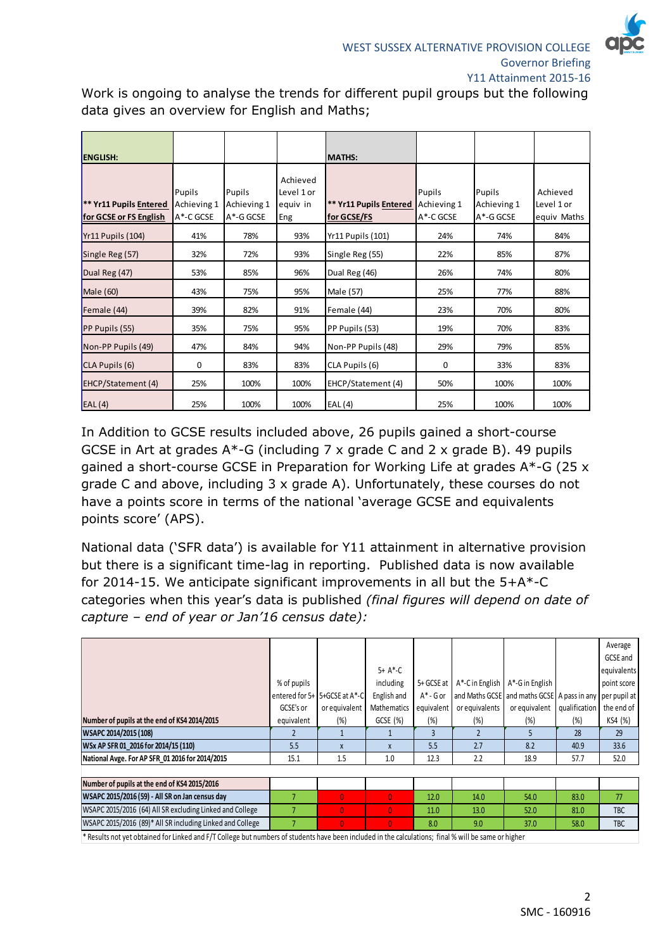

Work is ongoing to analyse the trends for different pupil groups but the following data gives an overview for English and Maths;

| <b>ENGLISH:</b>                                  |                                    |                                    |                                           | <b>MATHS:</b>                                |                                    |                                    |                                       |
|--------------------------------------------------|------------------------------------|------------------------------------|-------------------------------------------|----------------------------------------------|------------------------------------|------------------------------------|---------------------------------------|
| ** Yr11 Pupils Entered<br>for GCSE or FS English | Pupils<br>Achieving 1<br>A*-C GCSE | Pupils<br>Achieving 1<br>A*-G GCSE | Achieved<br>Level 1 or<br>equiv in<br>Eng | <b>** Yr11 Pupils Entered</b><br>for GCSE/FS | Pupils<br>Achieving 1<br>A*-C GCSE | Pupils<br>Achieving 1<br>A*-G GCSE | Achieved<br>Level 1 or<br>equiv Maths |
| Yr11 Pupils (104)                                | 41%                                | 78%                                | 93%                                       | <b>Yr11 Pupils (101)</b>                     | 24%                                | 74%                                | 84%                                   |
| Single Reg (57)                                  | 32%                                | 72%                                | 93%                                       | Single Reg (55)                              | 22%                                | 85%                                | 87%                                   |
| Dual Reg (47)                                    | 53%                                | 85%                                | 96%                                       | Dual Reg (46)                                | 26%                                | 74%                                | 80%                                   |
| Male (60)                                        | 43%                                | 75%                                | 95%                                       | Male (57)                                    | 25%                                | 77%                                | 88%                                   |
| Female (44)                                      | 39%                                | 82%                                | 91%                                       | Female (44)                                  | 23%                                | 70%                                | 80%                                   |
| PP Pupils (55)                                   | 35%                                | 75%                                | 95%                                       | PP Pupils (53)                               | 19%                                | 70%                                | 83%                                   |
| Non-PP Pupils (49)                               | 47%                                | 84%                                | 94%                                       | Non-PP Pupils (48)                           | 29%                                | 79%                                | 85%                                   |
| CLA Pupils (6)                                   | 0                                  | 83%                                | 83%                                       | CLA Pupils (6)                               | 0                                  | 33%                                | 83%                                   |
| EHCP/Statement (4)                               | 25%                                | 100%                               | 100%                                      | EHCP/Statement (4)                           | 50%                                | 100%                               | 100%                                  |
| EAL(4)                                           | 25%                                | 100%                               | 100%                                      | EAL (4)                                      | 25%                                | 100%                               | 100%                                  |

In Addition to GCSE results included above, 26 pupils gained a short-course GCSE in Art at grades A\*-G (including 7 x grade C and 2 x grade B). 49 pupils gained a short-course GCSE in Preparation for Working Life at grades A\*-G (25 x grade C and above, including 3 x grade A). Unfortunately, these courses do not have a points score in terms of the national 'average GCSE and equivalents points score' (APS).

National data ('SFR data') is available for Y11 attainment in alternative provision but there is a significant time-lag in reporting. Published data is now available for 2014-15. We anticipate significant improvements in all but the 5+A\*-C categories when this year's data is published *(final figures will depend on date of capture – end of year or Jan'16 census date):*

|                                                           |             |                               |              |              |                |                                                          |               | Average     |
|-----------------------------------------------------------|-------------|-------------------------------|--------------|--------------|----------------|----------------------------------------------------------|---------------|-------------|
|                                                           |             |                               |              |              |                |                                                          |               | GCSE and    |
|                                                           |             |                               | $5+ A*-C$    |              |                |                                                          |               | equivalents |
|                                                           | % of pupils |                               | including    | 5+ GCSE at   |                | $A^*$ -C in English $A^*$ -G in English                  |               | point score |
|                                                           |             | entered for 5+ 5+GCSE at A*-C | English and  | $A^*$ - G or |                | and Maths GCSE and maths GCSE A pass in any per pupil at |               |             |
|                                                           | GCSE's or   | or equivalent                 | Mathematics  | equivalent   | or equivalents | or equivalent                                            | qualification | the end of  |
| Number of pupils at the end of KS4 2014/2015              | equivalent  | (%)                           | GCSE (%)     | (%)          | (%)            | (%)                                                      | (%)           | KS4 (%)     |
| WSAPC 2014/2015 (108)                                     |             |                               |              | $\mathbf{R}$ |                | 5                                                        | 28            | 29          |
| WSx AP SFR 01 2016 for 2014/15 (110)                      | 5.5         | X                             | $\mathsf{X}$ | 5.5          | 2.7            | 8.2                                                      | 40.9          | 33.6        |
| National Avge. For AP SFR 01 2016 for 2014/2015           | 15.1        | 1.5                           | 1.0          | 12.3         | 2.2            | 18.9                                                     | 57.7          | 52.0        |
|                                                           |             |                               |              |              |                |                                                          |               |             |
| Number of pupils at the end of KS4 2015/2016              |             |                               |              |              |                |                                                          |               |             |
| WSAPC 2015/2016 (59) - All SR on Jan census day           |             | $\mathbf{0}$                  | $\mathbf{0}$ | 12.0         | 14.0           | 54.0                                                     | 83.0          | 77          |
| WSAPC 2015/2016 (64) All SR excluding Linked and College  |             | $\Omega$                      | $\mathbf{0}$ | 11.0         | 13.0           | 52.0                                                     | 81.0          | TBC         |
| WSAPC 2015/2016 (89)* All SR including Linked and College |             | $\overline{0}$                | $\mathbf{0}$ | 8.0          | 9.0            | 37.0                                                     | 58.0          | TBC         |
|                                                           |             |                               |              |              |                |                                                          |               |             |

\* Results not yet obtained for Linked and F/T College but numbers of students have been included in the calculations; final % will be same or higher